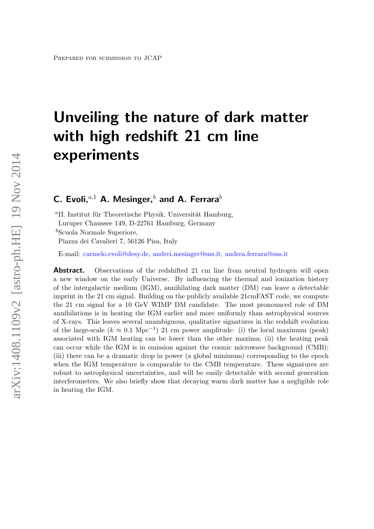# Unveiling the nature of dark matter with high redshift 21 cm line experiments

C. Evoli,<sup> $a,1$ </sup> A. Mesinger,<sup>b</sup> and A. Ferrara<sup>b</sup>

<sup>a</sup>II. Institut für Theoretische Physik, Universität Hamburg, Luruper Chaussee 149, D-22761 Hamburg, Germany

 $b$ Scuola Normale Superiore,

Piazza dei Cavalieri 7, 56126 Pisa, Italy

E-mail: [carmelo.evoli@desy.de,](mailto:carmelo.evoli@desy.de) [andrei.mesinger@sns.it,](mailto:andrei.mesinger@sns.it) [andrea.ferrara@sns.it](mailto:andrea.ferrara@sns.it)

Abstract. Observations of the redshifted 21 cm line from neutral hydrogen will open a new window on the early Universe. By influencing the thermal and ionization history of the intergalactic medium (IGM), annihilating dark matter (DM) can leave a detectable imprint in the 21 cm signal. Building on the publicly available 21cmFAST code, we compute the 21 cm signal for a 10 GeV WIMP DM candidate. The most pronounced role of DM annihilations is in heating the IGM earlier and more uniformly than astrophysical sources of X-rays. This leaves several unambiguous, qualitative signatures in the redshift evolution of the large-scale  $(k \approx 0.1 \text{ Mpc}^{-1})$  21 cm power amplitude: (i) the local maximum (peak) associated with IGM heating can be lower than the other maxima; (ii) the heating peak can occur while the IGM is in emission against the cosmic microwave background (CMB); (iii) there can be a dramatic drop in power (a global minimum) corresponding to the epoch when the IGM temperature is comparable to the CMB temperature. These signatures are robust to astrophysical uncertainties, and will be easily detectable with second generation interferometers. We also briefly show that decaying warm dark matter has a negligible role in heating the IGM.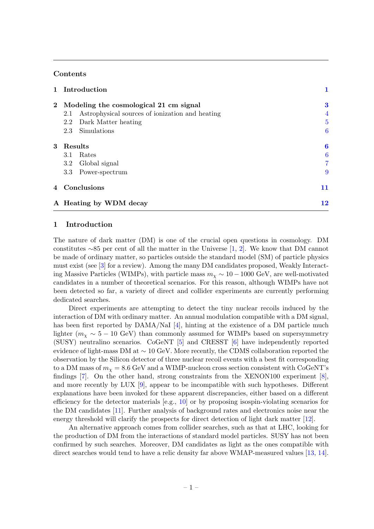# Contents

|                | 1 Introduction                                         |                  |
|----------------|--------------------------------------------------------|------------------|
| $\mathbf{2}^-$ | Modeling the cosmological 21 cm signal                 | $\bf{3}$         |
|                | Astrophysical sources of ionization and heating<br>2.1 | 4                |
|                | Dark Matter heating<br>$2.2\phantom{0}$                | 5                |
|                | Simulations<br>2.3                                     | 6                |
| 3              | Results                                                | $\boldsymbol{6}$ |
|                | Rates<br>3.1                                           | 6                |
|                | Global signal<br>$3.2\phantom{0}$                      |                  |
|                | Power-spectrum<br>$3.3\,$                              | 9                |
|                | 4 Conclusions                                          | 11               |
|                | A Heating by WDM decay                                 | 12               |

# <span id="page-1-0"></span>1 Introduction

The nature of dark matter (DM) is one of the crucial open questions in cosmology. DM constitutes ∼85 per cent of all the matter in the Universe [\[1,](#page-13-0) [2\]](#page-13-1). We know that DM cannot be made of ordinary matter, so particles outside the standard model (SM) of particle physics must exist (see [\[3\]](#page-13-2) for a review). Among the many DM candidates proposed, Weakly Interacting Massive Particles (WIMPs), with particle mass  $m<sub>\chi</sub> \sim 10 - 1000$  GeV, are well-motivated candidates in a number of theoretical scenarios. For this reason, although WIMPs have not been detected so far, a variety of direct and collider experiments are currently performing dedicated searches.

Direct experiments are attempting to detect the tiny nuclear recoils induced by the interaction of DM with ordinary matter. An annual modulation compatible with a DM signal, has been first reported by  $DAMA/NaI$  [\[4\]](#page-13-3), hinting at the existence of a DM particle much lighter ( $m_\chi \sim 5 - 10$  GeV) than commonly assumed for WIMPs based on supersymmetry (SUSY) neutralino scenarios. CoGeNT [\[5\]](#page-13-4) and CRESST [\[6\]](#page-14-0) have independently reported evidence of light-mass DM at ∼ 10 GeV. More recently, the CDMS collaboration reported the observation by the Silicon detector of three nuclear recoil events with a best fit corresponding to a DM mass of  $m_{\chi} = 8.6$  GeV and a WIMP-nucleon cross section consistent with CoGeNT's findings [\[7\]](#page-14-1). On the other hand, strong constraints from the XENON100 experiment [\[8\]](#page-14-2), and more recently by LUX [\[9\]](#page-14-3), appear to be incompatible with such hypotheses. Different explanations have been invoked for these apparent discrepancies, either based on a different efficiency for the detector materials [e.g., [10\]](#page-14-4) or by proposing isospin-violating scenarios for the DM candidates [\[11\]](#page-14-5). Further analysis of background rates and electronics noise near the energy threshold will clarify the prospects for direct detection of light dark matter [\[12\]](#page-14-6).

An alternative approach comes from collider searches, such as that at LHC, looking for the production of DM from the interactions of standard model particles. SUSY has not been confirmed by such searches. Moreover, DM candidates as light as the ones compatible with direct searches would tend to have a relic density far above WMAP-measured values [\[13,](#page-14-7) [14\]](#page-14-8).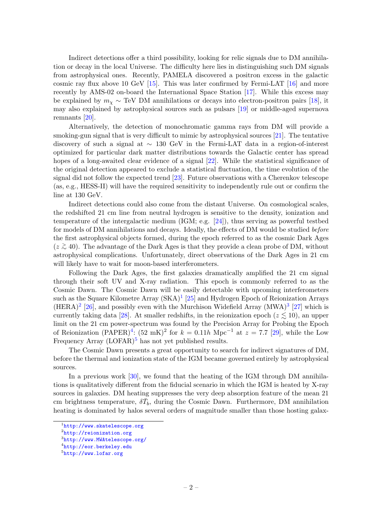Indirect detections offer a third possibility, looking for relic signals due to DM annihilation or decay in the local Universe. The difficulty here lies in distinguishing such DM signals from astrophysical ones. Recently, PAMELA discovered a positron excess in the galactic cosmic ray flux above 10 GeV [\[15\]](#page-14-9). This was later confirmed by Fermi-LAT [\[16\]](#page-14-10) and more recently by AMS-02 on-board the International Space Station [\[17\]](#page-14-11). While this excess may be explained by  $m_{\chi} \sim \text{TeV DM}$  annihilations or decays into electron-positron pairs [\[18\]](#page-14-12), it may also explained by astrophysical sources such as pulsars [\[19\]](#page-14-13) or middle-aged supernova remnants [\[20\]](#page-14-14).

Alternatively, the detection of monochromatic gamma rays from DM will provide a smoking-gun signal that is very difficult to mimic by astrophysical sources [\[21\]](#page-14-15). The tentative discovery of such a signal at ∼ 130 GeV in the Fermi-LAT data in a region-of-interest optimized for particular dark matter distributions towards the Galactic center has spread hopes of a long-awaited clear evidence of a signal [\[22\]](#page-14-16). While the statistical significance of the original detection appeared to exclude a statistical fluctuation, the time evolution of the signal did not follow the expected trend [\[23\]](#page-14-17). Future observations with a Cherenkov telescope (as, e.g., HESS-II) will have the required sensitivity to independently rule out or confirm the line at 130 GeV.

Indirect detections could also come from the distant Universe. On cosmological scales, the redshifted 21 cm line from neutral hydrogen is sensitive to the density, ionization and temperature of the intergalactic medium (IGM; e.g. [\[24\]](#page-15-0)), thus serving as powerful testbed for models of DM annihilations and decays. Ideally, the effects of DM would be studied before the first astrophysical objects formed, during the epoch referred to as the cosmic Dark Ages  $(z ≥ 40)$ . The advantage of the Dark Ages is that they provide a clean probe of DM, without astrophysical complications. Unfortunately, direct observations of the Dark Ages in 21 cm will likely have to wait for moon-based interferometers.

Following the Dark Ages, the first galaxies dramatically amplified the 21 cm signal through their soft UV and X-ray radiation. This epoch is commonly referred to as the Cosmic Dawn. The Cosmic Dawn will be easily detectable with upcoming interferometers such as the Square Kilometre Array  $(SKA)^{1}$  $(SKA)^{1}$  $(SKA)^{1}$  [\[25\]](#page-15-1) and Hydrogen Epoch of Reionization Arrays  $(HERA)^{2}$  $(HERA)^{2}$  $(HERA)^{2}$  [\[26\]](#page-15-2), and possibly even with the Murchison Widefield Array  $(MWA)^{3}$  $(MWA)^{3}$  $(MWA)^{3}$  [\[27\]](#page-15-3) which is currently taking data [\[28\]](#page-15-4). At smaller redshifts, in the reionization epoch ( $z \le 10$ ), an upper limit on the 21 cm power-spectrum was found by the Precision Array for Probing the Epoch of Reionization (PAPER)<sup>[4](#page-2-3)</sup>:  $(52 \text{ mK})^2$  for  $k = 0.11h \text{ Mpc}^{-1}$  at  $z = 7.7$  [\[29\]](#page-15-5), while the Low Frequency Array  $(LOFAR)^5$  $(LOFAR)^5$  has not yet published results.

The Cosmic Dawn presents a great opportunity to search for indirect signatures of DM, before the thermal and ionization state of the IGM became governed entirely by astrophysical sources.

In a previous work [\[30\]](#page-15-6), we found that the heating of the IGM through DM annihilations is qualitatively different from the fiducial scenario in which the IGM is heated by X-ray sources in galaxies. DM heating suppresses the very deep absorption feature of the mean 21 cm brightness temperature,  $\delta \bar{T}_b$ , during the Cosmic Dawn. Furthermore, DM annihilation heating is dominated by halos several orders of magnitude smaller than those hosting galax-

<span id="page-2-0"></span><sup>1</sup> <http://www.skatelescope.org>

<span id="page-2-1"></span> $\frac{2}{\pi}$ <http://reionization.org>

<span id="page-2-2"></span><sup>3</sup> <http://www.MWAtelescope.org/>

<span id="page-2-3"></span> $^4$ <http://eor.berkeley.edu>

<span id="page-2-4"></span> $5$ <http://www.lofar.org>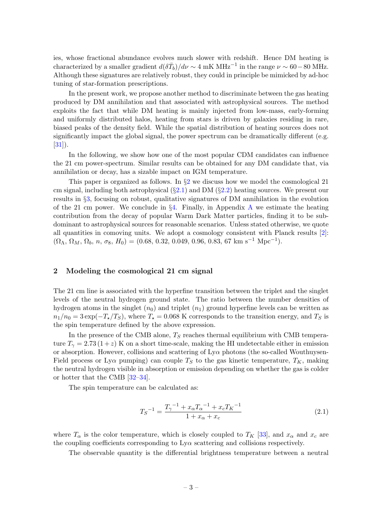ies, whose fractional abundance evolves much slower with redshift. Hence DM heating is characterized by a smaller gradient  $d(\delta \bar{T}_b)/d\nu \sim 4 \text{ mK MHz}^{-1}$  in the range  $\nu \sim 60-80 \text{ MHz}$ . Although these signatures are relatively robust, they could in principle be mimicked by ad-hoc tuning of star-formation prescriptions.

In the present work, we propose another method to discriminate between the gas heating produced by DM annihilation and that associated with astrophysical sources. The method exploits the fact that while DM heating is mainly injected from low-mass, early-forming and uniformly distributed halos, heating from stars is driven by galaxies residing in rare, biased peaks of the density field. While the spatial distribution of heating sources does not significantly impact the global signal, the power spectrum can be dramatically different (e.g.  $[31]$ .

In the following, we show how one of the most popular CDM candidates can influence the 21 cm power-spectrum. Similar results can be obtained for any DM candidate that, via annihilation or decay, has a sizable impact on IGM temperature.

This paper is organized as follows. In  $\S2$  $\S2$  we discuss how we model the cosmological 21 cm signal, including both astrophysical  $(\S 2.1)$  $(\S 2.1)$  and DM  $(\S 2.2)$  $(\S 2.2)$  heating sources. We present our results in §[3,](#page-6-1) focusing on robust, qualitative signatures of DM annihilation in the evolution of the 21 cm power. We conclude in  $\S 4$ . Finally, in [A](#page-12-0)ppendix A we estimate the heating contribution from the decay of popular Warm Dark Matter particles, finding it to be subdominant to astrophysical sources for reasonable scenarios. Unless stated otherwise, we quote all quantities in comoving units. We adopt a cosmology consistent with Planck results [\[2\]](#page-13-1):  $(\Omega_{\Lambda}, \Omega_{M}, \Omega_{b}, n, \sigma_{8}, H_{0}) = (0.68, 0.32, 0.049, 0.96, 0.83, 67 \text{ km s}^{-1} \text{ Mpc}^{-1}).$ 

## <span id="page-3-0"></span>2 Modeling the cosmological 21 cm signal

The 21 cm line is associated with the hyperfine transition between the triplet and the singlet levels of the neutral hydrogen ground state. The ratio between the number densities of hydrogen atoms in the singlet  $(n_0)$  and triplet  $(n_1)$  ground hyperfine levels can be written as  $n_1/n_0 = 3 \exp(-T_x/T_s)$ , where  $T_x = 0.068$  K corresponds to the transition energy, and  $T_s$  is the spin temperature defined by the above expression.

In the presence of the CMB alone,  $T<sub>S</sub>$  reaches thermal equilibrium with CMB temperature  $T_{\gamma} = 2.73 (1+z)$  K on a short time-scale, making the HI undetectable either in emission or absorption. However, collisions and scattering of  $Ly\alpha$  photons (the so-called Wouthuysen-Field process or Ly $\alpha$  pumping) can couple  $T_S$  to the gas kinetic temperature,  $T_K$ , making the neutral hydrogen visible in absorption or emission depending on whether the gas is colder or hotter that the CMB [\[32–](#page-15-8)[34\]](#page-15-9).

The spin temperature can be calculated as:

$$
T_S^{-1} = \frac{T_\gamma^{-1} + x_\alpha T_\alpha^{-1} + x_c T_K^{-1}}{1 + x_\alpha + x_c} \tag{2.1}
$$

where  $T_{\alpha}$  is the color temperature, which is closely coupled to  $T_K$  [\[33\]](#page-15-10), and  $x_{\alpha}$  and  $x_c$  are the coupling coefficients corresponding to  $Ly\alpha$  scattering and collisions respectively.

The observable quantity is the differential brightness temperature between a neutral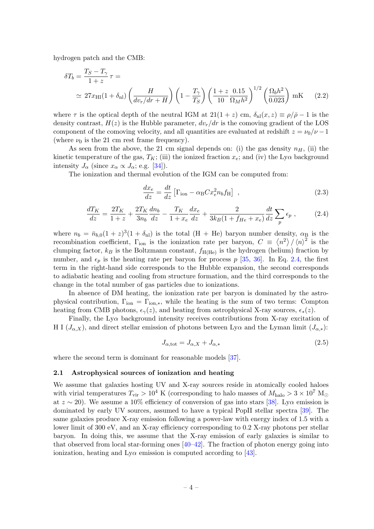hydrogen patch and the CMB:

$$
\delta T_b = \frac{T_S - T_\gamma}{1 + z} \tau =
$$
  
\n
$$
\simeq 27x_{\text{HI}}(1 + \delta_{\text{nl}}) \left(\frac{H}{dv_r/dr + H}\right) \left(1 - \frac{T_\gamma}{T_S}\right) \left(\frac{1 + z}{10} \frac{0.15}{\Omega_M h^2}\right)^{1/2} \left(\frac{\Omega_b h^2}{0.023}\right) \text{ mK} \tag{2.2}
$$

where  $\tau$  is the optical depth of the neutral IGM at  $21(1+z)$  cm,  $\delta_{\rm nl}(x, z) \equiv \rho/\bar{\rho} - 1$  is the density contrast,  $H(z)$  is the Hubble parameter,  $dv_r/dr$  is the comoving gradient of the LOS component of the comoving velocity, and all quantities are evaluated at redshift  $z = \nu_0/\nu - 1$ (where  $\nu_0$  is the 21 cm rest frame frequency).

As seen from the above, the 21 cm signal depends on: (i) the gas density  $n<sub>H</sub>$ , (ii) the kinetic temperature of the gas,  $T_K$ ; (iii) the ionized fraction  $x_e$ ; and (iv) the Ly $\alpha$  background intensity  $J_{\alpha}$  (since  $x_{\alpha} \propto J_{\alpha}$ ; e.g. [\[34\]](#page-15-9)).

The ionization and thermal evolution of the IGM can be computed from:

<span id="page-4-2"></span>
$$
\frac{dx_e}{dz} = \frac{dt}{dz} \left[ \Gamma_{\text{ion}} - \alpha_{\text{B}} C x_e^2 n_b f_{\text{H}} \right] \tag{2.3}
$$

<span id="page-4-1"></span>
$$
\frac{dT_K}{dz} = \frac{2T_K}{1+z} + \frac{2T_K}{3n_b}\frac{dn_b}{dz} - \frac{T_K}{1+x_e}\frac{dx_e}{dz} + \frac{2}{3k_B(1+f_{He}+x_e)}\frac{dt}{dz}\sum_p \epsilon_p ,
$$
 (2.4)

where  $n_b = \bar{n}_{b,0}(1+z)^3(1+\delta_{\rm nl})$  is the total  $(H + He)$  baryon number density,  $\alpha_B$  is the recombination coefficient,  $\Gamma_{\text{ion}}$  is the ionization rate per baryon,  $C = \langle n^2 \rangle / \langle n \rangle^2$  is the clumping factor,  $k_B$  is the Boltzmann constant,  $f_{\text{H(He)}}$  is the hydrogen (helium) fraction by number, and  $\epsilon_p$  is the heating rate per baryon for process p [\[35,](#page-15-11) [36\]](#page-15-12). In Eq. [2.4,](#page-4-1) the first term in the right-hand side corresponds to the Hubble expansion, the second corresponds to adiabatic heating and cooling from structure formation, and the third corresponds to the change in the total number of gas particles due to ionizations.

In absence of DM heating, the ionization rate per baryon is dominated by the astrophysical contribution,  $\Gamma_{\text{ion}} = \Gamma_{\text{ion},*}$ , while the heating is the sum of two terms: Compton heating from CMB photons,  $\epsilon_{\gamma}(z)$ , and heating from astrophysical X-ray sources,  $\epsilon_{\ast}(z)$ .

Finally, the  $Ly\alpha$  background intensity receives contributions from X-ray excitation of H I  $(J_{\alpha,X})$ , and direct stellar emission of photons between Ly $\alpha$  and the Lyman limit  $(J_{\alpha,*})$ :

<span id="page-4-3"></span>
$$
J_{\alpha, \text{tot}} = J_{\alpha, X} + J_{\alpha, *} \tag{2.5}
$$

where the second term is dominant for reasonable models [\[37\]](#page-15-13).

#### <span id="page-4-0"></span>2.1 Astrophysical sources of ionization and heating

We assume that galaxies hosting UV and X-ray sources reside in atomically cooled haloes with virial temperatures  $T_{\rm vir} > 10^4$  K (corresponding to halo masses of  $M_{\rm halo} > 3 \times 10^7$  M<sub> $\odot$ </sub> at  $z \sim 20$ ). We assume a 10% efficiency of conversion of gas into stars [\[38\]](#page-16-0). Ly $\alpha$  emission is dominated by early UV sources, assumed to have a typical PopII stellar spectra [\[39\]](#page-16-1). The same galaxies produce X-ray emission following a power-law with energy index of 1.5 with a lower limit of 300 eV, and an X-ray efficiency corresponding to 0.2 X-ray photons per stellar baryon. In doing this, we assume that the X-ray emission of early galaxies is similar to that observed from local star-forming ones  $[40-42]$  $[40-42]$ . The fraction of photon energy going into ionization, heating and  $Ly\alpha$  emission is computed according to [\[43\]](#page-16-4).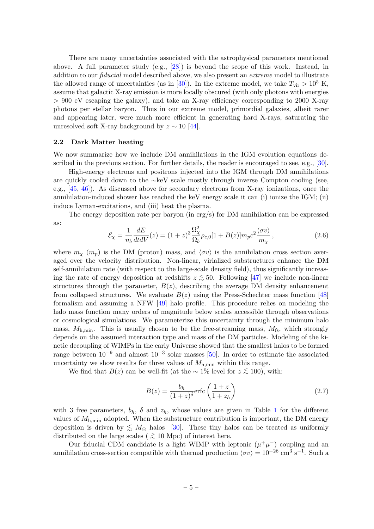There are many uncertainties associated with the astrophysical parameters mentioned above. A full parameter study (e.g., [\[28\]](#page-15-4)) is beyond the scope of this work. Instead, in addition to our *fiducial* model described above, we also present an *extreme* model to illustrate the allowed range of uncertainties (as in [\[30\]](#page-15-6)). In the extreme model, we take  $T_{\text{vir}} > 10^5$  K, assume that galactic X-ray emission is more locally obscured (with only photons with energies > 900 eV escaping the galaxy), and take an X-ray efficiency corresponding to 2000 X-ray photons per stellar baryon. Thus in our extreme model, primordial galaxies, albeit rarer and appearing later, were much more efficient in generating hard X-rays, saturating the unresolved soft X-ray background by  $z \sim 10$  [\[44\]](#page-16-5).

#### <span id="page-5-0"></span>2.2 Dark Matter heating

We now summarize how we include DM annihilations in the IGM evolution equations described in the previous section. For further details, the reader is encouraged to see, e.g., [\[30\]](#page-15-6).

High-energy electrons and positrons injected into the IGM through DM annihilations are quickly cooled down to the ∼keV scale mostly through inverse Compton cooling (see, e.g., [\[45,](#page-16-6) [46\]](#page-16-7)). As discussed above for secondary electrons from X-ray ionizations, once the annihilation-induced shower has reached the keV energy scale it can (i) ionize the IGM; (ii) induce Lyman-excitations, and (iii) heat the plasma.

The energy deposition rate per baryon (in erg/s) for DM annihilation can be expressed as:

<span id="page-5-2"></span>
$$
\mathcal{E}_{\chi} = \frac{1}{n_b} \frac{dE}{dt dV}(z) = (1+z)^3 \frac{\Omega_{\chi}^2}{\Omega_b} \rho_{c,0} [1 + B(z)] m_p c^2 \frac{\langle \sigma v \rangle}{m_{\chi}}, \qquad (2.6)
$$

where  $m_{\chi}$  ( $m_p$ ) is the DM (proton) mass, and  $\langle \sigma v \rangle$  is the annihilation cross section averaged over the velocity distribution. Non-linear, virialized substructures enhance the DM self-annihilation rate (with respect to the large-scale density field), thus significantly increasing the rate of energy deposition at redshifts  $z \lesssim 50$ . Following [\[47\]](#page-16-8) we include non-linear structures through the parameter,  $B(z)$ , describing the average DM density enhancement from collapsed structures. We evaluate  $B(z)$  using the Press-Schechter mass function [\[48\]](#page-16-9) formalism and assuming a NFW [\[49\]](#page-16-10) halo profile. This procedure relies on modeling the halo mass function many orders of magnitude below scales accessible through observations or cosmological simulations. We parameterize this uncertainty through the minimum halo mass,  $M_{\rm h,min}$ . This is usually chosen to be the free-streaming mass,  $M_{\rm fs}$ , which strongly depends on the assumed interaction type and mass of the DM particles. Modeling of the kinetic decoupling of WIMPs in the early Universe showed that the smallest halos to be formed range between  $10^{-9}$  and almost  $10^{-3}$  solar masses [\[50\]](#page-16-11). In order to estimate the associated uncertainty we show results for three values of  $M_{h,min}$  within this range.

We find that  $B(z)$  can be well-fit (at the ~ 1% level for  $z \lesssim 100$ ), with:

<span id="page-5-1"></span>
$$
B(z) = \frac{b_h}{(1+z)^{\delta}} \text{erfc}\left(\frac{1+z}{1+z_h}\right) \tag{2.7}
$$

with 3 free parameters,  $b_h$ ,  $\delta$  and  $z_h$ , whose values are given in Table [1](#page-6-3) for the different values of  $M_{h,min}$  adopted. When the substructure contribution is important, the DM energy deposition is driven by  $\leq M_{\odot}$  halos [\[30\]](#page-15-6). These tiny halos can be treated as uniformly distributed on the large scales (  $\gtrsim 10$  Mpc) of interest here.

Our fiducial CDM candidate is a light WIMP with leptonic  $(\mu^+\mu^-)$  coupling and an annihilation cross-section compatible with thermal production  $\langle \sigma v \rangle = 10^{-26}$  cm<sup>3</sup> s<sup>-1</sup>. Such a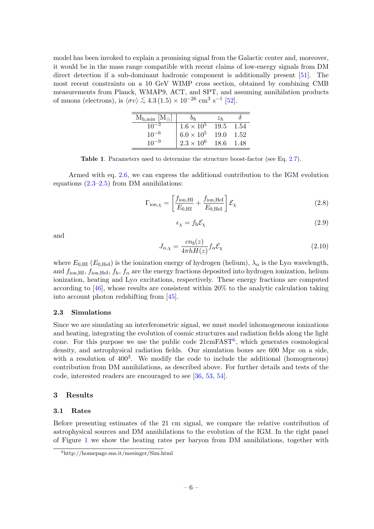model has been invoked to explain a promising signal from the Galactic center and, moreover, it would be in the mass range compatible with recent claims of low-energy signals from DM direct detection if a sub-dominant hadronic component is additionally present [\[51\]](#page-16-12). The most recent constraints on a 10 GeV WIMP cross section, obtained by combining CMB measurements from Planck, WMAP9, ACT, and SPT, and assuming annihilation products of muons (electrons), is  $\langle \sigma v \rangle \lesssim 4.3 \, (1.5) \times 10^{-26} \, \text{cm}^3 \, \text{s}^{-1} \, [52]$  $\langle \sigma v \rangle \lesssim 4.3 \, (1.5) \times 10^{-26} \, \text{cm}^3 \, \text{s}^{-1} \, [52]$ .

| $M_{h,min}$ [M <sub><math>\odot</math></sub> ] |                     | $z_h$ |      |
|------------------------------------------------|---------------------|-------|------|
| $10^{-3}$                                      | $1.6 \times 10^{5}$ | 19.5  | 1.54 |
| $10^{-6}$                                      | $6.0\times10^5$     | 19.0  | 1.52 |
| $10^{-9}$                                      | $2.3 \times 10^{6}$ | 18.6  | 1.48 |

<span id="page-6-3"></span>Table 1. Parameters used to determine the structure boost-factor (see Eq. [2.7\)](#page-5-1).

Armed with eq. [2.6,](#page-5-2) we can express the additional contribution to the IGM evolution equations  $(2.3-2.5)$  from DM annihilations:

$$
\Gamma_{\text{ion},\chi} = \left[\frac{f_{\text{ion},\text{HI}}}{E_{0,\text{HI}}} + \frac{f_{\text{ion},\text{HeI}}}{E_{0,\text{HeI}}}\right] \mathcal{E}_{\chi}
$$
\n(2.8)

$$
\epsilon_{\chi} = f_{\rm h} \mathcal{E}_{\chi} \tag{2.9}
$$

and

$$
J_{\alpha,\chi} = \frac{cn_b(z)}{4\pi h H(z)} f_\alpha \mathcal{E}_\chi
$$
\n(2.10)

where  $E_{0,HI}$  ( $E_{0,HeI}$ ) is the ionization energy of hydrogen (helium),  $\lambda_{\alpha}$  is the Ly $\alpha$  wavelength, and  $f_{\text{ion,HI}}, f_{\text{ion,HeI}}, f_{\text{h}}, f_{\alpha}$  are the energy fractions deposited into hydrogen ionization, helium ionization, heating and  $Ly\alpha$  excitations, respectively. These energy fractions are computed according to [\[46\]](#page-16-7), whose results are consistent within 20% to the analytic calculation taking into account photon redshifting from [\[45\]](#page-16-6).

### <span id="page-6-0"></span>2.3 Simulations

Since we are simulating an interferometric signal, we must model inhomogeneous ionizations and heating, integrating the evolution of cosmic structures and radiation fields along the light cone. For this purpose we use the public code  $21 \text{cm} \text{FAST}^6$  $21 \text{cm} \text{FAST}^6$ , which generates cosmological density, and astrophysical radiation fields. Our simulation boxes are 600 Mpc on a side, with a resolution of  $400^3$ . We modify the code to include the additional (homogeneous) contribution from DM annihilations, as described above. For further details and tests of the code, interested readers are encouraged to see [\[36,](#page-15-12) [53,](#page-16-14) [54\]](#page-16-15).

#### <span id="page-6-1"></span>3 Results

#### <span id="page-6-2"></span>3.1 Rates

Before presenting estimates of the 21 cm signal, we compare the relative contribution of astrophysical sources and DM annihilations to the evolution of the IGM. In the right panel of Figure [1](#page-7-1) we show the heating rates per baryon from DM annihilations, together with

<span id="page-6-4"></span> $<sup>6</sup>$ http://homepage.sns.it/mesinger/Sim.html</sup>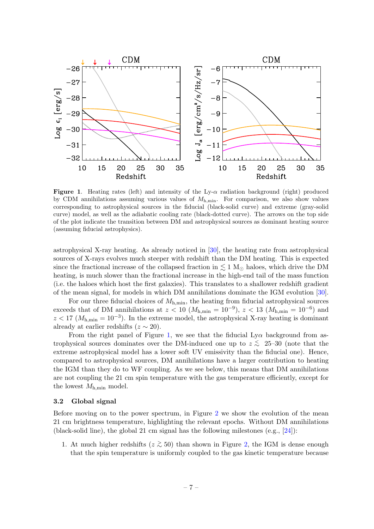

<span id="page-7-1"></span>**Figure 1.** Heating rates (left) and intensity of the Ly- $\alpha$  radiation background (right) produced by CDM annihilations assuming various values of  $M_{\text{h-min}}$ . For comparison, we also show values corresponding to astrophysical sources in the fiducial (black-solid curve) and extreme (gray-solid curve) model, as well as the adiabatic cooling rate (black-dotted curve). The arrows on the top side of the plot indicate the transition between DM and astrophysical sources as dominant heating source (assuming fiducial astrophysics).

astrophysical X-ray heating. As already noticed in [\[30\]](#page-15-6), the heating rate from astrophysical sources of X-rays evolves much steeper with redshift than the DM heating. This is expected since the fractional increase of the collapsed fraction in  $\lesssim 1 \text{ M}_{\odot}$  haloes, which drive the DM heating, is much slower than the fractional increase in the high-end tail of the mass function (i.e. the haloes which host the first galaxies). This translates to a shallower redshift gradient of the mean signal, for models in which DM annihilations dominate the IGM evolution [\[30\]](#page-15-6).

For our three fiducial choices of  $M_{h,min}$ , the heating from fiducial astrophysical sources exceeds that of DM annihilations at  $z < 10$  ( $M_{h,min} = 10^{-9}$ ),  $z < 13$  ( $M_{h,min} = 10^{-6}$ ) and  $z < 17 (M_{h,min} = 10^{-3})$ . In the extreme model, the astrophysical X-ray heating is dominant already at earlier redshifts ( $z \sim 20$ ).

From the right panel of Figure [1,](#page-7-1) we see that the fiducial  $Ly\alpha$  background from astrophysical sources dominates over the DM-induced one up to  $z \stackrel{\scriptstyle <}{\phantom{}_{\sim}} 25-30$  (note that the extreme astrophysical model has a lower soft UV emissivity than the fiducial one). Hence, compared to astrophysical sources, DM annihilations have a larger contribution to heating the IGM than they do to WF coupling. As we see below, this means that DM annihilations are not coupling the 21 cm spin temperature with the gas temperature efficiently, except for the lowest  $M_{\rm h,min}$  model.

#### <span id="page-7-0"></span>3.2 Global signal

Before moving on to the power spectrum, in Figure [2](#page-8-0) we show the evolution of the mean 21 cm brightness temperature, highlighting the relevant epochs. Without DM annihilations (black-solid line), the global 21 cm signal has the following milestones (e.g., [\[24\]](#page-15-0)):

1. At much higher redshifts ( $z \gtrsim 50$ ) than shown in Figure [2,](#page-8-0) the IGM is dense enough that the spin temperature is uniformly coupled to the gas kinetic temperature because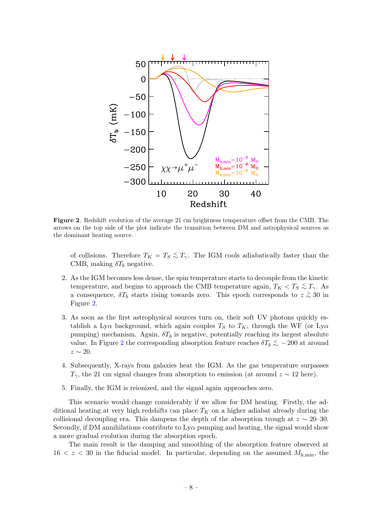

<span id="page-8-0"></span>Figure 2. Redshift evolution of the average 21 cm brightness temperature offset from the CMB. The arrows on the top side of the plot indicate the transition between DM and astrophysical sources as the dominant heating source.

of collisions. Therefore  $T_K = T_S \lesssim T_\gamma$ . The IGM cools adiabatically faster than the CMB, making  $\delta T_b$  negative.

- 2. As the IGM becomes less dense, the spin temperature starts to decouple from the kinetic temperature, and begins to approach the CMB temperature again,  $T_K < T_S \stackrel{\textless}{\sim} T_\gamma$ . As a consequence,  $\delta T_b$  starts rising towards zero. This epoch corresponds to  $z \gtrsim 30$  in Figure [2.](#page-8-0)
- 3. As soon as the first astrophysical sources turn on, their soft UV photons quickly establish a Ly $\alpha$  background, which again couples  $T_S$  to  $T_K$ , through the WF (or Ly $\alpha$ pumping) mechanism. Again,  $\delta T_b$  is negative, potentially reaching its largest absolute value. In Figure [2](#page-8-0) the corresponding absorption feature reaches  $\delta T_b \lesssim -200$  at around  $z \sim 20$ .
- 4. Subsequently, X-rays from galaxies heat the IGM. As the gas temperature surpasses  $T_{\gamma}$ , the 21 cm signal changes from absorption to emission (at around  $z \sim 12$  here).
- 5. Finally, the IGM is reionized, and the signal again approaches zero.

This scenario would change considerably if we allow for DM heating. Firstly, the additional heating at very high redshifts can place  $T_K$  on a higher adiabat already during the collisional decoupling era. This dampens the depth of the absorption trough at  $z \sim 20$ –30. Secondly, if DM annihilations contribute to  $Ly\alpha$  pumping and heating, the signal would show a more gradual evolution during the absorption epoch.

The main result is the damping and smoothing of the absorption feature observed at  $16 < z < 30$  in the fiducial model. In particular, depending on the assumed  $M_{h,min}$ , the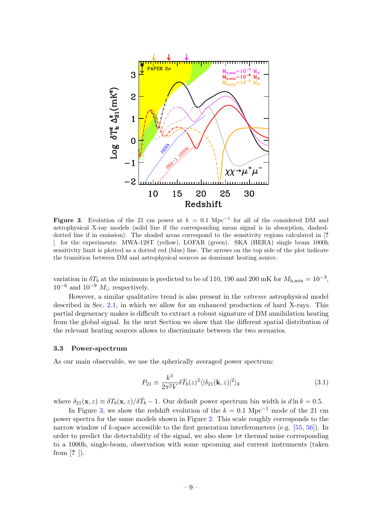

<span id="page-9-1"></span>Figure 3. Evolution of the 21 cm power at  $k = 0.1$  Mpc<sup>-1</sup> for all of the considered DM and astrophysical X-ray models (solid line if the corresponding mean signal is in absorption, dasheddotted line if in emission). The shaded areas correspond to the sensitivity regions calculated in [? ] for the experiments: MWA-128T (yellow), LOFAR (green). SKA (HERA) single beam 1000h sensitivity limit is plotted as a dotted red (blue) line. The arrows on the top side of the plot indicate the transition between DM and astrophysical sources as dominant heating source.

variation in  $\delta T_b$  at the minimum is predicted to be of 110, 190 and 200 mK for  $M_{\rm h,min} = 10^{-3}$ ,  $10^{-6}$  and  $10^{-9}$   $M_{\odot}$  respectively.

However, a similar qualitative trend is also present in the extreme astrophysical model described in Sec. [2.1,](#page-4-0) in which we allow for an enhanced production of hard X-rays. This partial degeneracy makes is difficult to extract a robust signature of DM annihilation heating from the global signal. In the next Section we show that the different spatial distribution of the relevant heating sources allows to discriminate between the two scenarios.

#### <span id="page-9-0"></span>3.3 Power-spectrum

As our main observable, we use the spherically averaged power spectrum:

$$
P_{21} \equiv \frac{k^3}{2\pi^2 V} \delta \bar{T}_b(z)^2 \langle |\delta_{21}(\mathbf{k}, z)|^2 \rangle_k \tag{3.1}
$$

where  $\delta_{21}(\mathbf{x}, z) \equiv \delta T_b(\mathbf{x}, z)/\delta \bar{T}_b - 1$ . Our default power spectrum bin width is  $d \ln k = 0.5$ .

In Figure [3,](#page-9-1) we show the redshift evolution of the  $k = 0.1$  Mpc<sup>-1</sup> mode of the 21 cm power spectra for the same models shown in Figure [2.](#page-8-0) This scale roughly corresponds to the narrow window of k-space accessible to the first generation interferometers (e.g.  $[55, 56]$  $[55, 56]$ ). In order to predict the detectability of the signal, we also show  $1\sigma$  thermal noise corresponding to a 1000h, single-beam, observation with some upcoming and current instruments (taken from [? ]).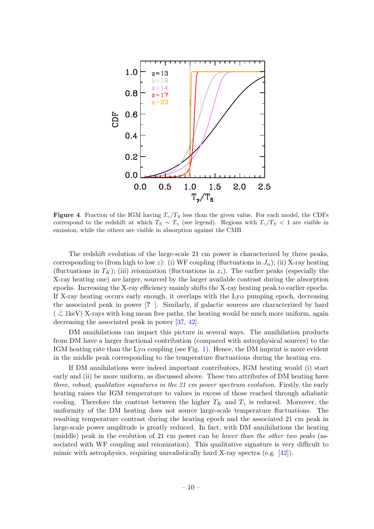

<span id="page-10-0"></span>**Figure 4.** Fraction of the IGM having  $T_\gamma/T_S$  less than the given value. For each model, the CDFs correspond to the redshift at which  $T_S \sim T_\gamma$  (see legend). Regions with  $T_\gamma/T_S < 1$  are visible in emission, while the others are visible in absorption against the CMB.

The redshift evolution of the large-scale 21 cm power is characterized by three peaks, corresponding to (from high to low z): (i) WF coupling (fluctuations in  $J_{\alpha}$ ); (ii) X-ray heating (fluctuations in  $T_K$ ); (iii) reionization (fluctuations in  $x_i$ ). The earlier peaks (especially the X-ray heating one) are larger, sourced by the larger available contrast during the absorption epochs. Increasing the X-ray efficiency mainly shifts the X-ray heating peak to earlier epochs. If X-ray heating occurs early enough, it overlaps with the  $Ly\alpha$  pumping epoch, decreasing the associated peak in power [? ]. Similarly, if galactic sources are characterized by hard ( <sup>&</sup>gt;∼ 1keV) X-rays with long mean free paths, the heating would be much more uniform, again decreasing the associated peak in power [\[37,](#page-15-13) [42\]](#page-16-3).

DM annihilations can impact this picture in several ways. The annihilation products from DM have a larger fractional contribution (compared with astrophysical sources) to the IGM heating rate than the Ly $\alpha$  coupling (see Fig. [1\)](#page-7-1). Hence, the DM imprint is more evident in the middle peak corresponding to the temperature fluctuations during the heating era.

If DM annihilations were indeed important contributors, IGM heating would (i) start early and (ii) be more uniform, as discussed above. These two attributes of DM heating have three, robust, qualitative signatures in the 21 cm power spectrum evolution. Firstly, the early heating raises the IGM temperature to values in excess of those reached through adiabatic cooling. Therefore the contrast between the higher  $T_K$  and  $T_\gamma$  is reduced. Moreover, the uniformity of the DM heating does not source large-scale temperature fluctuations. The resulting temperature contrast during the heating epoch and the associated 21 cm peak in large-scale power amplitude is greatly reduced. In fact, with DM annihilations the heating (middle) peak in the evolution of 21 cm power can be lower than the other two peaks (associated with WF coupling and reionization). This qualitative signature is very difficult to mimic with astrophysics, requiring unrealistically hard X-ray spectra (e.g. [\[42\]](#page-16-3)).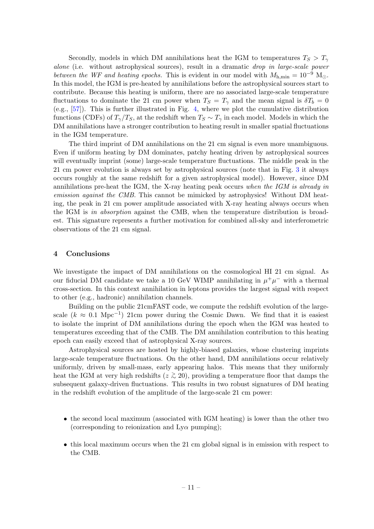Secondly, models in which DM annihilations heat the IGM to temperatures  $T_S > T_{\gamma}$ alone (i.e. without astrophysical sources), result in a dramatic drop in large-scale power between the WF and heating epochs. This is evident in our model with  $M_{h,min} = 10^{-9}$  M<sub>O</sub>. In this model, the IGM is pre-heated by annihilations before the astrophysical sources start to contribute. Because this heating is uniform, there are no associated large-scale temperature fluctuations to dominate the 21 cm power when  $T_S = T_\gamma$  and the mean signal is  $\delta T_b = 0$ (e.g., [\[57\]](#page-17-0)). This is further illustrated in Fig. [4,](#page-10-0) where we plot the cumulative distribution functions (CDFs) of  $T_\gamma/T_S$ , at the redshift when  $T_S \sim T_\gamma$  in each model. Models in which the DM annihilations have a stronger contribution to heating result in smaller spatial fluctuations in the IGM temperature.

The third imprint of DM annihilations on the 21 cm signal is even more unambiguous. Even if uniform heating by DM dominates, patchy heating driven by astrophysical sources will eventually imprint (some) large-scale temperature fluctuations. The middle peak in the 21 cm power evolution is always set by astrophysical sources (note that in Fig. [3](#page-9-1) it always occurs roughly at the same redshift for a given astrophysical model). However, since DM annihilations pre-heat the IGM, the X-ray heating peak occurs when the IGM is already in emission against the CMB. This cannot be mimicked by astrophysics! Without DM heating, the peak in 21 cm power amplitude associated with X-ray heating always occurs when the IGM is in absorption against the CMB, when the temperature distribution is broadest. This signature represents a further motivation for combined all-sky and interferometric observations of the 21 cm signal.

#### <span id="page-11-0"></span>4 Conclusions

We investigate the impact of DM annihilations on the cosmological HI 21 cm signal. As our fiducial DM candidate we take a 10 GeV WIMP annihilating in  $\mu^+\mu^-$  with a thermal cross-section. In this context annihilation in leptons provides the largest signal with respect to other (e.g., hadronic) annihilation channels.

Building on the public 21cmFAST code, we compute the redshift evolution of the largescale  $(k \approx 0.1 \text{ Mpc}^{-1})$  21cm power during the Cosmic Dawn. We find that it is easiest to isolate the imprint of DM annihilations during the epoch when the IGM was heated to temperatures exceeding that of the CMB. The DM annihilation contribution to this heating epoch can easily exceed that of astrophysical X-ray sources.

Astrophysical sources are hosted by highly-biased galaxies, whose clustering imprints large-scale temperature fluctuations. On the other hand, DM annihilations occur relatively uniformly, driven by small-mass, early appearing halos. This means that they uniformly heat the IGM at very high redshifts ( $z \gtrsim 20$ ), providing a temperature floor that damps the subsequent galaxy-driven fluctuations. This results in two robust signatures of DM heating in the redshift evolution of the amplitude of the large-scale 21 cm power:

- the second local maximum (associated with IGM heating) is lower than the other two (corresponding to reionization and  $Ly\alpha$  pumping);
- this local maximum occurs when the 21 cm global signal is in emission with respect to the CMB.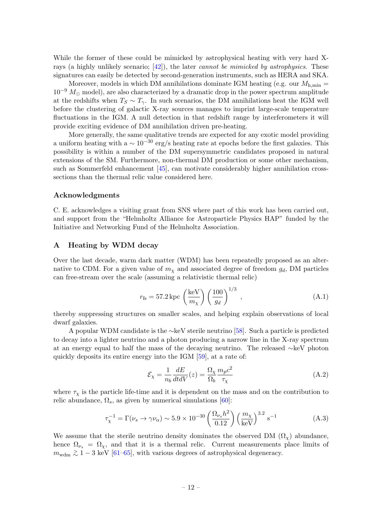While the former of these could be mimicked by astrophysical heating with very hard Xrays (a highly unlikely scenario;  $[42]$ ), the later *cannot be mimicked by astrophysics*. These signatures can easily be detected by second-generation instruments, such as HERA and SKA.

Moreover, models in which DM annihilations dominate IGM heating (e.g. our  $M_{h,min} =$  $10^{-9}$   $M_{\odot}$  model), are also characterized by a dramatic drop in the power spectrum amplitude at the redshifts when  $T_S \sim T_\gamma$ . In such scenarios, the DM annihilations heat the IGM well before the clustering of galactic X-ray sources manages to imprint large-scale temperature fluctuations in the IGM. A null detection in that redshift range by interferometers it will provide exciting evidence of DM annihilation driven pre-heating.

More generally, the same qualitative trends are expected for any exotic model providing a uniform heating with a  $\sim 10^{-30}$  erg/s heating rate at epochs before the first galaxies. This possibility is within a number of the DM supersymmetric candidates proposed in natural extensions of the SM. Furthermore, non-thermal DM production or some other mechanism, such as Sommerfeld enhancement [\[45\]](#page-16-6), can motivate considerably higher annihilation crosssections than the thermal relic value considered here.

### Acknowledgments

C. E. acknowledges a visiting grant from SNS where part of this work has been carried out, and support from the "Helmholtz Alliance for Astroparticle Physics HAP" funded by the Initiative and Networking Fund of the Helmholtz Association.

# <span id="page-12-0"></span>A Heating by WDM decay

Over the last decade, warm dark matter (WDM) has been repeatedly proposed as an alternative to CDM. For a given value of  $m<sub>x</sub>$  and associated degree of freedom  $g<sub>d</sub>$ , DM particles can free-stream over the scale (assuming a relativistic thermal relic)

$$
r_{\rm fs} = 57.2 \,\text{kpc} \left(\frac{\text{keV}}{m_{\chi}}\right) \left(\frac{100}{g_d}\right)^{1/3} \,, \tag{A.1}
$$

thereby suppressing structures on smaller scales, and helping explain observations of local dwarf galaxies.

A popular WDM candidate is the ∼keV sterile neutrino [\[58\]](#page-17-1). Such a particle is predicted to decay into a lighter neutrino and a photon producing a narrow line in the X-ray spectrum at an energy equal to half the mass of the decaying neutrino. The released ∼keV photon quickly deposits its entire energy into the IGM [\[59\]](#page-17-2), at a rate of:

$$
\mathcal{E}_{\chi} = \frac{1}{n_b} \frac{dE}{dt dV}(z) = \frac{\Omega_{\chi}}{\Omega_b} \frac{m_p c^2}{\tau_{\chi}}
$$
(A.2)

where  $\tau_{\chi}$  is the particle life-time and it is dependent on the mass and on the contribution to relic abundance,  $\Omega_s$ , as given by numerical simulations [\[60\]](#page-17-3):

$$
\tau_{\chi}^{-1} = \Gamma(\nu_s \to \gamma \nu_\alpha) \sim 5.9 \times 10^{-30} \left(\frac{\Omega_{\nu_s} h^2}{0.12}\right) \left(\frac{m_\chi}{\text{keV}}\right)^{3.2} \text{s}^{-1} \tag{A.3}
$$

We assume that the sterile neutrino density dominates the observed DM  $(\Omega_{\chi})$  abundance, hence  $\Omega_{\nu_s} = \Omega_{\chi}$ , and that it is a thermal relic. Current measurements place limits of  $m_{\text{wdm}} \gtrsim 1-3$  keV [\[61](#page-17-4)[–65\]](#page-17-5), with various degrees of astrophysical degeneracy.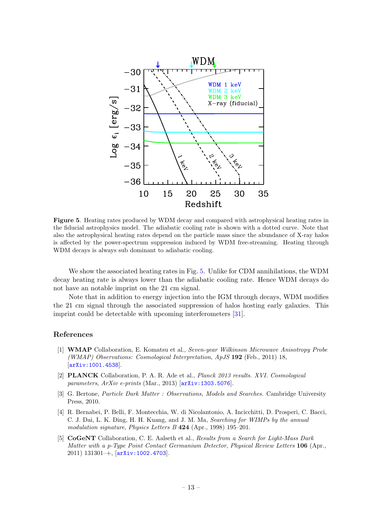

<span id="page-13-5"></span>Figure 5. Heating rates produced by WDM decay and compared with astrophysical heating rates in the fiducial astrophysics model. The adiabatic cooling rate is shown with a dotted curve. Note that also the astrophysical heating rates depend on the particle mass since the abundance of X-ray halos is affected by the power-spectrum suppression induced by WDM free-streaming. Heating through WDM decays is always sub dominant to adiabatic cooling.

We show the associated heating rates in Fig. [5.](#page-13-5) Unlike for CDM annihilations, the WDM decay heating rate is always lower than the adiabatic cooling rate. Hence WDM decays do not have an notable imprint on the 21 cm signal.

Note that in addition to energy injection into the IGM through decays, WDM modifies the 21 cm signal through the associated suppression of halos hosting early galaxies. This imprint could be detectable with upcoming interferometers [\[31\]](#page-15-7).

#### References

- <span id="page-13-0"></span>[1] WMAP Collaboration, E. Komatsu et al., Seven-year Wilkinson Microwave Anisotropy Probe (WMAP) Observations: Cosmological Interpretation, ApJS 192 (Feb., 2011) 18, [[arXiv:1001.4538](http://xxx.lanl.gov/abs/1001.4538)].
- <span id="page-13-1"></span>[2] PLANCK Collaboration, P. A. R. Ade et al., Planck 2013 results. XVI. Cosmological parameters,  $ArXiv$  e-prints (Mar., 2013)  $\sigma$ [arXiv:1303.5076](http://xxx.lanl.gov/abs/1303.5076).
- <span id="page-13-2"></span>[3] G. Bertone, Particle Dark Matter : Observations, Models and Searches. Cambridge University Press, 2010.
- <span id="page-13-3"></span>[4] R. Bernabei, P. Belli, F. Montecchia, W. di Nicolantonio, A. Incicchitti, D. Prosperi, C. Bacci, C. J. Dai, L. K. Ding, H. H. Kuang, and J. M. Ma, Searching for WIMPs by the annual modulation signature, Physics Letters B 424 (Apr., 1998) 195–201.
- <span id="page-13-4"></span>[5] CoGeNT Collaboration, C. E. Aalseth et al., Results from a Search for Light-Mass Dark Matter with a p-Type Point Contact Germanium Detector, Physical Review Letters 106 (Apr., 2011) 131301–+, [[arXiv:1002.4703](http://xxx.lanl.gov/abs/1002.4703)].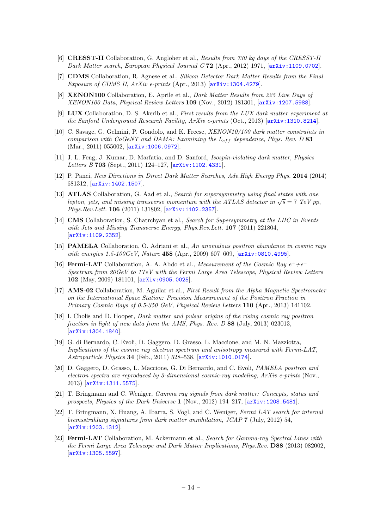- <span id="page-14-0"></span>[6] CRESST-II Collaboration, G. Angloher et al., Results from 730 kg days of the CRESST-II Dark Matter search, European Physical Journal C 72 (Apr., 2012) 1971, [[arXiv:1109.0702](http://xxx.lanl.gov/abs/1109.0702)].
- <span id="page-14-1"></span>[7] CDMS Collaboration, R. Agnese et al., Silicon Detector Dark Matter Results from the Final Exposure of CDMS II,  $ArXiv$  e-prints (Apr., 2013)  $\left[$ [arXiv:1304.4279](http://xxx.lanl.gov/abs/1304.4279).
- <span id="page-14-2"></span>[8] **XENON100** Collaboration, E. Aprile et al., *Dark Matter Results from 225 Live Days of* XENON100 Data, Physical Review Letters 109 (Nov., 2012) 181301, [[arXiv:1207.5988](http://xxx.lanl.gov/abs/1207.5988)].
- <span id="page-14-3"></span>[9] LUX Collaboration, D. S. Akerib et al., First results from the LUX dark matter experiment at the Sanford Underground Research Facility, ArXiv e-prints (Oct., 2013) [[arXiv:1310.8214](http://xxx.lanl.gov/abs/1310.8214)].
- <span id="page-14-4"></span>[10] C. Savage, G. Gelmini, P. Gondolo, and K. Freese,  $XENON10/100$  dark matter constraints in comparison with CoGeNT and DAMA: Examining the  $L_{eff}$  dependence, Phys. Rev. D 83 (Mar., 2011) 055002, [[arXiv:1006.0972](http://xxx.lanl.gov/abs/1006.0972)].
- <span id="page-14-5"></span>[11] J. L. Feng, J. Kumar, D. Marfatia, and D. Sanford, Isospin-violating dark matter, Physics Letters B 703 (Sept., 2011) 124-127, [[arXiv:1102.4331](http://xxx.lanl.gov/abs/1102.4331)].
- <span id="page-14-6"></span>[12] P. Panci, New Directions in Direct Dark Matter Searches, Adv.High Energy Phys. 2014 (2014) 681312, [[arXiv:1402.1507](http://xxx.lanl.gov/abs/1402.1507)].
- <span id="page-14-7"></span>[13] **ATLAS** Collaboration, G. Aad et al., Search for supersymmetry using final states with one **ATLAS** Conaboration, G. Aad et al., *Search for supersymmetry using final states with one* lepton, jets, and missing transverse momentum with the ATLAS detector in  $\sqrt{s} = 7$  TeV pp, Phys.Rev.Lett. 106 (2011) 131802, [[arXiv:1102.2357](http://xxx.lanl.gov/abs/1102.2357)].
- <span id="page-14-8"></span>[14] **CMS** Collaboration, S. Chatrchyan et al., Search for Supersymmetry at the LHC in Events with Jets and Missing Transverse Energy, Phys. Rev. Lett. **107** (2011) 221804, [[arXiv:1109.2352](http://xxx.lanl.gov/abs/1109.2352)].
- <span id="page-14-9"></span>[15] PAMELA Collaboration, O. Adriani et al., An anomalous positron abundance in cosmic rays with energies 1.5-100GeV, Nature 458 (Apr., 2009) 607-609, [[arXiv:0810.4995](http://xxx.lanl.gov/abs/0810.4995)].
- <span id="page-14-10"></span>[16] **Fermi-LAT** Collaboration, A. A. Abdo et al., *Measurement of the Cosmic Ray*  $e^+ + e^-$ Spectrum from 20GeV to 1TeV with the Fermi Large Area Telescope, Physical Review Letters 102 (May, 2009) 181101, [[arXiv:0905.0025](http://xxx.lanl.gov/abs/0905.0025)].
- <span id="page-14-11"></span>[17] AMS-02 Collaboration, M. Aguilar et al., First Result from the Alpha Magnetic Spectrometer on the International Space Station: Precision Measurement of the Positron Fraction in Primary Cosmic Rays of 0.5-350 GeV, Physical Review Letters 110 (Apr., 2013) 141102.
- <span id="page-14-12"></span>[18] I. Cholis and D. Hooper, Dark matter and pulsar origins of the rising cosmic ray positron fraction in light of new data from the AMS, Phys. Rev. D 88 (July, 2013) 023013, [[arXiv:1304.1840](http://xxx.lanl.gov/abs/1304.1840)].
- <span id="page-14-13"></span>[19] G. di Bernardo, C. Evoli, D. Gaggero, D. Grasso, L. Maccione, and M. N. Mazziotta, Implications of the cosmic ray electron spectrum and anisotropy measured with Fermi-LAT, Astroparticle Physics 34 (Feb., 2011) 528–538, [[arXiv:1010.0174](http://xxx.lanl.gov/abs/1010.0174)].
- <span id="page-14-14"></span>[20] D. Gaggero, D. Grasso, L. Maccione, G. Di Bernardo, and C. Evoli, PAMELA positron and electron spectra are reproduced by 3-dimensional cosmic-ray modeling, ArXiv e-prints (Nov., 2013) [[arXiv:1311.5575](http://xxx.lanl.gov/abs/1311.5575)].
- <span id="page-14-15"></span>[21] T. Bringmann and C. Weniger, Gamma ray signals from dark matter: Concepts, status and prospects, Physics of the Dark Universe 1 (Nov., 2012) 194–217, [[arXiv:1208.5481](http://xxx.lanl.gov/abs/1208.5481)].
- <span id="page-14-16"></span>[22] T. Bringmann, X. Huang, A. Ibarra, S. Vogl, and C. Weniger, Fermi LAT search for internal bremsstrahlung signatures from dark matter annihilation, JCAP 7 (July, 2012) 54, [[arXiv:1203.1312](http://xxx.lanl.gov/abs/1203.1312)].
- <span id="page-14-17"></span>[23] Fermi-LAT Collaboration, M. Ackermann et al., Search for Gamma-ray Spectral Lines with the Fermi Large Area Telescope and Dark Matter Implications, Phys.Rev. D88 (2013) 082002, [[arXiv:1305.5597](http://xxx.lanl.gov/abs/1305.5597)].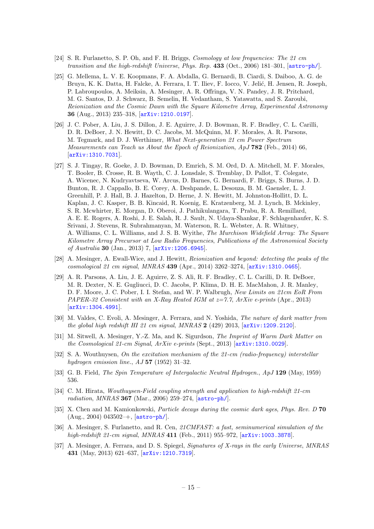- <span id="page-15-0"></span>[24] S. R. Furlanetto, S. P. Oh, and F. H. Briggs, Cosmology at low frequencies: The 21 cm transition and the high-redshift Universe, Phys. Rep. 433 (Oct., 2006) 181-301, [[astro-ph/](http://xxx.lanl.gov/abs/astro-ph/)].
- <span id="page-15-1"></span>[25] G. Mellema, L. V. E. Koopmans, F. A. Abdalla, G. Bernardi, B. Ciardi, S. Daiboo, A. G. de Bruyn, K. K. Datta, H. Falcke, A. Ferrara, I. T. Iliev, F. Iocco, V. Jelić, H. Jensen, R. Joseph, P. Labroupoulos, A. Meiksin, A. Mesinger, A. R. Offringa, V. N. Pandey, J. R. Pritchard, M. G. Santos, D. J. Schwarz, B. Semelin, H. Vedantham, S. Yatawatta, and S. Zaroubi, Reionization and the Cosmic Dawn with the Square Kilometre Array, Experimental Astronomy 36 (Aug., 2013) 235–318, [[arXiv:1210.0197](http://xxx.lanl.gov/abs/1210.0197)].
- <span id="page-15-2"></span>[26] J. C. Pober, A. Liu, J. S. Dillon, J. E. Aguirre, J. D. Bowman, R. F. Bradley, C. L. Carilli, D. R. DeBoer, J. N. Hewitt, D. C. Jacobs, M. McQuinn, M. F. Morales, A. R. Parsons, M. Tegmark, and D. J. Werthimer, What Next-generation 21 cm Power Spectrum Measurements can Teach us About the Epoch of Reionization, ApJ 782 (Feb., 2014) 66, [[arXiv:1310.7031](http://xxx.lanl.gov/abs/1310.7031)].
- <span id="page-15-3"></span>[27] S. J. Tingay, R. Goeke, J. D. Bowman, D. Emrich, S. M. Ord, D. A. Mitchell, M. F. Morales, T. Booler, B. Crosse, R. B. Wayth, C. J. Lonsdale, S. Tremblay, D. Pallot, T. Colegate, A. Wicenec, N. Kudryavtseva, W. Arcus, D. Barnes, G. Bernardi, F. Briggs, S. Burns, J. D. Bunton, R. J. Cappallo, B. E. Corey, A. Deshpande, L. Desouza, B. M. Gaensler, L. J. Greenhill, P. J. Hall, B. J. Hazelton, D. Herne, J. N. Hewitt, M. Johnston-Hollitt, D. L. Kaplan, J. C. Kasper, B. B. Kincaid, R. Koenig, E. Kratzenberg, M. J. Lynch, B. Mckinley, S. R. Mcwhirter, E. Morgan, D. Oberoi, J. Pathikulangara, T. Prabu, R. A. Remillard, A. E. E. Rogers, A. Roshi, J. E. Salah, R. J. Sault, N. Udaya-Shankar, F. Schlagenhaufer, K. S. Srivani, J. Stevens, R. Subrahmanyan, M. Waterson, R. L. Webster, A. R. Whitney, A. Williams, C. L. Williams, and J. S. B. Wyithe, The Murchison Widefield Array: The Square Kilometre Array Precursor at Low Radio Frequencies, Publications of the Astronomical Society of Australia 30 (Jan., 2013) 7, [[arXiv:1206.6945](http://xxx.lanl.gov/abs/1206.6945)].
- <span id="page-15-4"></span>[28] A. Mesinger, A. Ewall-Wice, and J. Hewitt, Reionization and beyond: detecting the peaks of the cosmological 21 cm signal, MNRAS 439 (Apr., 2014) 3262–3274, [[arXiv:1310.0465](http://xxx.lanl.gov/abs/1310.0465)].
- <span id="page-15-5"></span>[29] A. R. Parsons, A. Liu, J. E. Aguirre, Z. S. Ali, R. F. Bradley, C. L. Carilli, D. R. DeBoer, M. R. Dexter, N. E. Gugliucci, D. C. Jacobs, P. Klima, D. H. E. MacMahon, J. R. Manley, D. F. Moore, J. C. Pober, I. I. Stefan, and W. P. Walbrugh, New Limits on 21cm EoR From PAPER-32 Consistent with an X-Ray Heated IGM at  $z=7.7$ , ArXiv e-prints (Apr., 2013) [[arXiv:1304.4991](http://xxx.lanl.gov/abs/1304.4991)].
- <span id="page-15-6"></span>[30] M. Valdes, C. Evoli, A. Mesinger, A. Ferrara, and N. Yoshida, The nature of dark matter from the global high redshift HI 21 cm signal, MNRAS  $2$  (429) 2013,  $\arXiv:1209.2120$  $\arXiv:1209.2120$ .
- <span id="page-15-7"></span>[31] M. Sitwell, A. Mesinger, Y.-Z. Ma, and K. Sigurdson, The Imprint of Warm Dark Matter on the Cosmological 21-cm Signal, ArXiv e-prints (Sept., 2013) [[arXiv:1310.0029](http://xxx.lanl.gov/abs/1310.0029)].
- <span id="page-15-8"></span>[32] S. A. Wouthuysen, On the excitation mechanism of the 21-cm (radio-frequency) interstellar hydrogen emission line.,  $AJ 57 (1952) 31-32$ .
- <span id="page-15-10"></span>[33] G. B. Field, *The Spin Temperature of Intergalactic Neutral Hydrogen., ApJ* 129 (May, 1959) 536.
- <span id="page-15-9"></span>[34] C. M. Hirata, Wouthuysen-Field coupling strength and application to high-redshift 21-cm radiation, MNRAS 367 (Mar., 2006) 259–274, [[astro-ph/](http://xxx.lanl.gov/abs/astro-ph/)].
- <span id="page-15-11"></span>[35] X. Chen and M. Kamionkowski, *Particle decays during the cosmic dark ages, Phys. Rev. D* 70 (Aug., 2004) 043502–+, [[astro-ph/](http://xxx.lanl.gov/abs/astro-ph/)].
- <span id="page-15-12"></span>[36] A. Mesinger, S. Furlanetto, and R. Cen, 21CMFAST: a fast, seminumerical simulation of the high-redshift 21-cm signal, MNRAS 411 (Feb., 2011) 955-972, [[arXiv:1003.3878](http://xxx.lanl.gov/abs/1003.3878)].
- <span id="page-15-13"></span>[37] A. Mesinger, A. Ferrara, and D. S. Spiegel, Signatures of X-rays in the early Universe, MNRAS 431 (May, 2013) 621–637, [[arXiv:1210.7319](http://xxx.lanl.gov/abs/1210.7319)].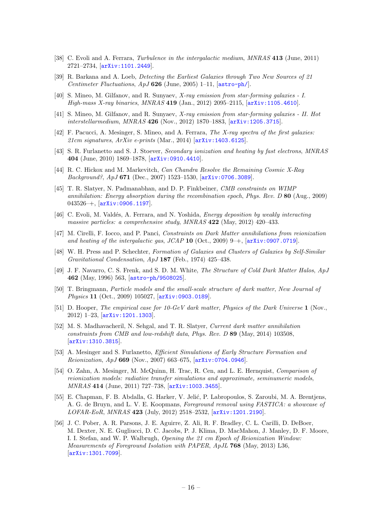- <span id="page-16-0"></span>[38] C. Evoli and A. Ferrara, *Turbulence in the intergalactic medium*, *MNRAS* 413 (June, 2011) 2721–2734, [[arXiv:1101.2449](http://xxx.lanl.gov/abs/1101.2449)].
- <span id="page-16-1"></span>[39] R. Barkana and A. Loeb, Detecting the Earliest Galaxies through Two New Sources of 21 Centimeter Fluctuations,  $ApJ 626$  (June, 2005) 1–11,  $[astro-ph/]$  $[astro-ph/]$  $[astro-ph/]$ .
- <span id="page-16-2"></span>[40] S. Mineo, M. Gilfanov, and R. Sunyaev, X-ray emission from star-forming galaxies - I. High-mass X-ray binaries, MNRAS 419 (Jan., 2012) 2095–2115, [[arXiv:1105.4610](http://xxx.lanl.gov/abs/1105.4610)].
- [41] S. Mineo, M. Gilfanov, and R. Sunyaev, X-ray emission from star-forming galaxies II. Hot interstellarmedium, MNRAS 426 (Nov., 2012) 1870–1883, [[arXiv:1205.3715](http://xxx.lanl.gov/abs/1205.3715)].
- <span id="page-16-3"></span>[42] F. Pacucci, A. Mesinger, S. Mineo, and A. Ferrara, The X-ray spectra of the first galaxies: 21cm signatures,  $ArXiv$  e-prints (Mar., 2014)  $\sigma$ <sup>2</sup> (arXiv: 1403.6125).
- <span id="page-16-4"></span>[43] S. R. Furlanetto and S. J. Stoever, Secondary ionization and heating by fast electrons, MNRAS 404 (June, 2010) 1869–1878, [[arXiv:0910.4410](http://xxx.lanl.gov/abs/0910.4410)].
- <span id="page-16-5"></span>[44] R. C. Hickox and M. Markevitch, Can Chandra Resolve the Remaining Cosmic X-Ray  $Background?, ApJ$  671 (Dec., 2007) 1523-1530,  $[ary:0706.3089]$ .
- <span id="page-16-6"></span>[45] T. R. Slatyer, N. Padmanabhan, and D. P. Finkbeiner, CMB constraints on WIMP annihilation: Energy absorption during the recombination epoch, Phys. Rev.  $D$  80 (Aug., 2009) 043526–+, [[arXiv:0906.1197](http://xxx.lanl.gov/abs/0906.1197)].
- <span id="page-16-7"></span>[46] C. Evoli, M. Valdés, A. Ferrara, and N. Yoshida, *Energy deposition by weakly interacting* massive particles: a comprehensive study, MNRAS 422 (May, 2012) 420–433.
- <span id="page-16-8"></span>[47] M. Cirelli, F. Iocco, and P. Panci, Constraints on Dark Matter annihilations from reionization and heating of the intergalactic gas,  $JCAP$  10 (Oct., 2009) 9–+, [[arXiv:0907.0719](http://xxx.lanl.gov/abs/0907.0719)].
- <span id="page-16-9"></span>[48] W. H. Press and P. Schechter, Formation of Galaxies and Clusters of Galaxies by Self-Similar Gravitational Condensation, ApJ 187 (Feb., 1974) 425–438.
- <span id="page-16-10"></span>[49] J. F. Navarro, C. S. Frenk, and S. D. M. White, The Structure of Cold Dark Matter Halos, ApJ 462 (May, 1996) 563, [[astro-ph/9508025](http://xxx.lanl.gov/abs/astro-ph/9508025)].
- <span id="page-16-11"></span>[50] T. Bringmann, Particle models and the small-scale structure of dark matter, New Journal of Physics 11 (Oct., 2009) 105027, [[arXiv:0903.0189](http://xxx.lanl.gov/abs/0903.0189)].
- <span id="page-16-12"></span>[51] D. Hooper, The empirical case for 10-GeV dark matter, Physics of the Dark Universe 1 (Nov., 2012) 1–23, [[arXiv:1201.1303](http://xxx.lanl.gov/abs/1201.1303)].
- <span id="page-16-13"></span>[52] M. S. Madhavacheril, N. Sehgal, and T. R. Slatyer, Current dark matter annihilation constraints from CMB and low-redshift data, Phys. Rev. D 89 (May, 2014) 103508, [[arXiv:1310.3815](http://xxx.lanl.gov/abs/1310.3815)].
- <span id="page-16-14"></span>[53] A. Mesinger and S. Furlanetto, Efficient Simulations of Early Structure Formation and Reionization, ApJ 669 (Nov., 2007) 663–675, [[arXiv:0704.0946](http://xxx.lanl.gov/abs/0704.0946)].
- <span id="page-16-15"></span>[54] O. Zahn, A. Mesinger, M. McQuinn, H. Trac, R. Cen, and L. E. Hernquist, Comparison of reionization models: radiative transfer simulations and approximate, seminumeric models, MNRAS 414 (June, 2011) 727–738, [[arXiv:1003.3455](http://xxx.lanl.gov/abs/1003.3455)].
- <span id="page-16-16"></span>[55] E. Chapman, F. B. Abdalla, G. Harker, V. Jelić, P. Labropoulos, S. Zaroubi, M. A. Brentjens, A. G. de Bruyn, and L. V. E. Koopmans, Foreground removal using FASTICA: a showcase of LOFAR-EoR, MNRAS 423 (July, 2012) 2518–2532, [[arXiv:1201.2190](http://xxx.lanl.gov/abs/1201.2190)].
- <span id="page-16-17"></span>[56] J. C. Pober, A. R. Parsons, J. E. Aguirre, Z. Ali, R. F. Bradley, C. L. Carilli, D. DeBoer, M. Dexter, N. E. Gugliucci, D. C. Jacobs, P. J. Klima, D. MacMahon, J. Manley, D. F. Moore, I. I. Stefan, and W. P. Walbrugh, Opening the 21 cm Epoch of Reionization Window: Measurements of Foreground Isolation with PAPER, ApJL 768 (May, 2013) L36, [[arXiv:1301.7099](http://xxx.lanl.gov/abs/1301.7099)].